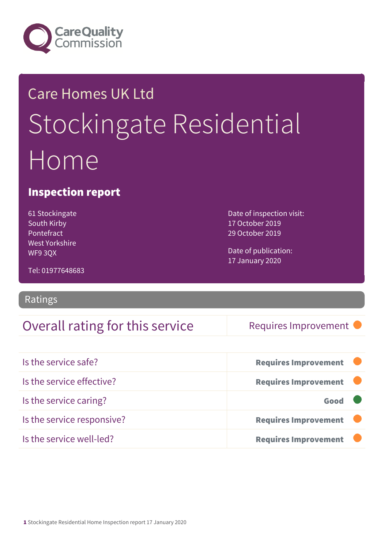

# Care Homes UK Ltd Stockingate Residential Home

#### Inspection report

61 Stockingate South Kirby Pontefract West Yorkshire WF9 3QX

Date of inspection visit: 17 October 2019 29 October 2019

Date of publication: 17 January 2020

Tel: 01977648683

#### Ratings

### Overall rating for this service Requires Improvement

| Is the service safe?       | <b>Requires Improvement</b> |  |
|----------------------------|-----------------------------|--|
| Is the service effective?  | <b>Requires Improvement</b> |  |
| Is the service caring?     | Good                        |  |
| Is the service responsive? | <b>Requires Improvement</b> |  |
| Is the service well-led?   | <b>Requires Improvement</b> |  |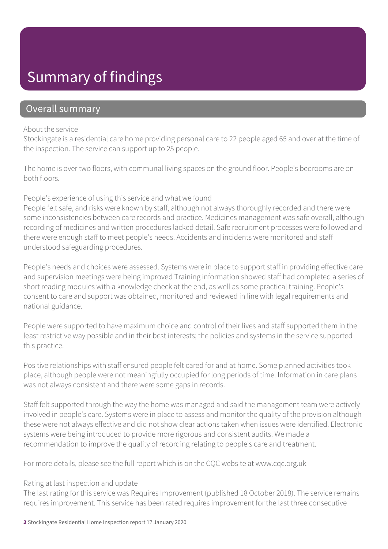## Summary of findings

#### Overall summary

#### About the service

Stockingate is a residential care home providing personal care to 22 people aged 65 and over at the time of the inspection. The service can support up to 25 people.

The home is over two floors, with communal living spaces on the ground floor. People's bedrooms are on both floors.

#### People's experience of using this service and what we found

People felt safe, and risks were known by staff, although not always thoroughly recorded and there were some inconsistencies between care records and practice. Medicines management was safe overall, although recording of medicines and written procedures lacked detail. Safe recruitment processes were followed and there were enough staff to meet people's needs. Accidents and incidents were monitored and staff understood safeguarding procedures.

People's needs and choices were assessed. Systems were in place to support staff in providing effective care and supervision meetings were being improved Training information showed staff had completed a series of short reading modules with a knowledge check at the end, as well as some practical training. People's consent to care and support was obtained, monitored and reviewed in line with legal requirements and national guidance.

People were supported to have maximum choice and control of their lives and staff supported them in the least restrictive way possible and in their best interests; the policies and systems in the service supported this practice.

Positive relationships with staff ensured people felt cared for and at home. Some planned activities took place, although people were not meaningfully occupied for long periods of time. Information in care plans was not always consistent and there were some gaps in records.

Staff felt supported through the way the home was managed and said the management team were actively involved in people's care. Systems were in place to assess and monitor the quality of the provision although these were not always effective and did not show clear actions taken when issues were identified. Electronic systems were being introduced to provide more rigorous and consistent audits. We made a recommendation to improve the quality of recording relating to people's care and treatment.

For more details, please see the full report which is on the CQC website at www.cqc.org.uk

#### Rating at last inspection and update

The last rating for this service was Requires Improvement (published 18 October 2018). The service remains requires improvement. This service has been rated requires improvement for the last three consecutive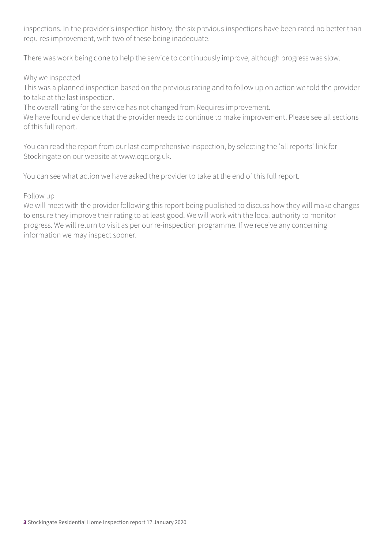inspections. In the provider's inspection history, the six previous inspections have been rated no better than requires improvement, with two of these being inadequate.

There was work being done to help the service to continuously improve, although progress was slow.

#### Why we inspected

This was a planned inspection based on the previous rating and to follow up on action we told the provider to take at the last inspection.

The overall rating for the service has not changed from Requires improvement.

We have found evidence that the provider needs to continue to make improvement. Please see all sections of this full report.

You can read the report from our last comprehensive inspection, by selecting the 'all reports' link for Stockingate on our website at www.cqc.org.uk.

You can see what action we have asked the provider to take at the end of this full report.

#### Follow up

We will meet with the provider following this report being published to discuss how they will make changes to ensure they improve their rating to at least good. We will work with the local authority to monitor progress. We will return to visit as per our re-inspection programme. If we receive any concerning information we may inspect sooner.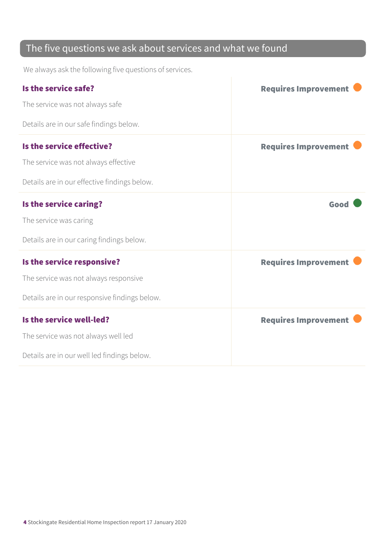### The five questions we ask about services and what we found

We always ask the following five questions of services.

| Is the service safe?                          | <b>Requires Improvement</b> |
|-----------------------------------------------|-----------------------------|
| The service was not always safe               |                             |
| Details are in our safe findings below.       |                             |
| Is the service effective?                     | <b>Requires Improvement</b> |
| The service was not always effective          |                             |
| Details are in our effective findings below.  |                             |
| Is the service caring?                        | Good                        |
| The service was caring                        |                             |
| Details are in our caring findings below.     |                             |
| Is the service responsive?                    | <b>Requires Improvement</b> |
| The service was not always responsive         |                             |
| Details are in our responsive findings below. |                             |
| Is the service well-led?                      | <b>Requires Improvement</b> |
| The service was not always well led           |                             |
| Details are in our well led findings below.   |                             |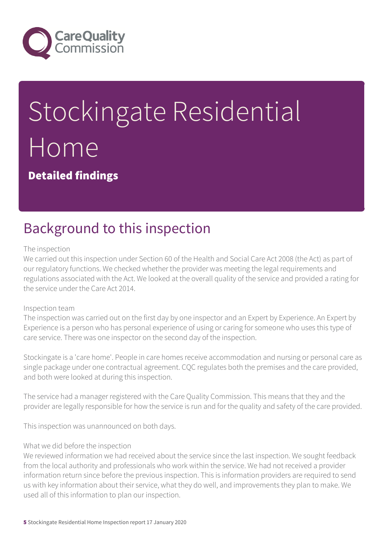

# Stockingate Residential Home

Detailed findings

## Background to this inspection

#### The inspection

We carried out this inspection under Section 60 of the Health and Social Care Act 2008 (the Act) as part of our regulatory functions. We checked whether the provider was meeting the legal requirements and regulations associated with the Act. We looked at the overall quality of the service and provided a rating for the service under the Care Act 2014.

#### Inspection team

The inspection was carried out on the first day by one inspector and an Expert by Experience. An Expert by Experience is a person who has personal experience of using or caring for someone who uses this type of care service. There was one inspector on the second day of the inspection.

Stockingate is a 'care home'. People in care homes receive accommodation and nursing or personal care as single package under one contractual agreement. CQC regulates both the premises and the care provided, and both were looked at during this inspection.

The service had a manager registered with the Care Quality Commission. This means that they and the provider are legally responsible for how the service is run and for the quality and safety of the care provided.

This inspection was unannounced on both days.

#### What we did before the inspection

We reviewed information we had received about the service since the last inspection. We sought feedback from the local authority and professionals who work within the service. We had not received a provider information return since before the previous inspection. This is information providers are required to send us with key information about their service, what they do well, and improvements they plan to make. We used all of this information to plan our inspection.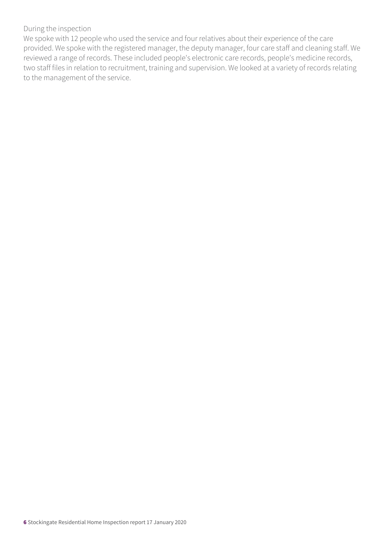#### During the inspection

We spoke with 12 people who used the service and four relatives about their experience of the care provided. We spoke with the registered manager, the deputy manager, four care staff and cleaning staff. We reviewed a range of records. These included people's electronic care records, people's medicine records, two staff files in relation to recruitment, training and supervision. We looked at a variety of records relating to the management of the service.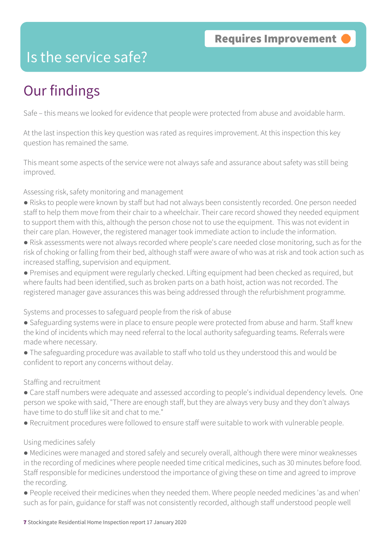### Is the service safe?

# Our findings

Safe – this means we looked for evidence that people were protected from abuse and avoidable harm.

At the last inspection this key question was rated as requires improvement. At this inspection this key question has remained the same.

This meant some aspects of the service were not always safe and assurance about safety was still being improved.

Assessing risk, safety monitoring and management

- Risks to people were known by staff but had not always been consistently recorded. One person needed staff to help them move from their chair to a wheelchair. Their care record showed they needed equipment to support them with this, although the person chose not to use the equipment. This was not evident in their care plan. However, the registered manager took immediate action to include the information.
- Risk assessments were not always recorded where people's care needed close monitoring, such as for the risk of choking or falling from their bed, although staff were aware of who was at risk and took action such as increased staffing, supervision and equipment.
- Premises and equipment were regularly checked. Lifting equipment had been checked as required, but where faults had been identified, such as broken parts on a bath hoist, action was not recorded. The registered manager gave assurances this was being addressed through the refurbishment programme.

Systems and processes to safeguard people from the risk of abuse

- Safeguarding systems were in place to ensure people were protected from abuse and harm. Staff knew the kind of incidents which may need referral to the local authority safeguarding teams. Referrals were made where necessary.
- The safeguarding procedure was available to staff who told us they understood this and would be confident to report any concerns without delay.

#### Staffing and recruitment

- Care staff numbers were adequate and assessed according to people's individual dependency levels. One person we spoke with said, "There are enough staff, but they are always very busy and they don't always have time to do stuff like sit and chat to me."
- Recruitment procedures were followed to ensure staff were suitable to work with vulnerable people.

#### Using medicines safely

- Medicines were managed and stored safely and securely overall, although there were minor weaknesses in the recording of medicines where people needed time critical medicines, such as 30 minutes before food. Staff responsible for medicines understood the importance of giving these on time and agreed to improve the recording.
- People received their medicines when they needed them. Where people needed medicines 'as and when' such as for pain, guidance for staff was not consistently recorded, although staff understood people well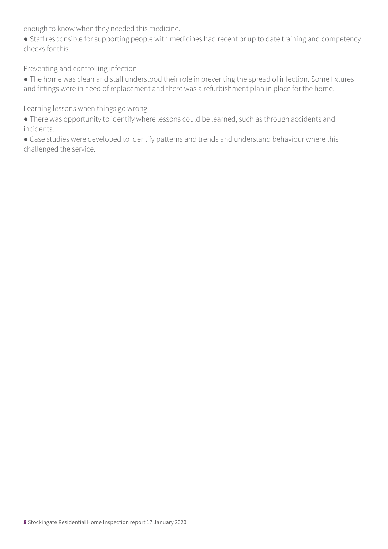enough to know when they needed this medicine.

● Staff responsible for supporting people with medicines had recent or up to date training and competency checks for this.

Preventing and controlling infection

● The home was clean and staff understood their role in preventing the spread of infection. Some fixtures and fittings were in need of replacement and there was a refurbishment plan in place for the home.

Learning lessons when things go wrong

- There was opportunity to identify where lessons could be learned, such as through accidents and incidents.
- Case studies were developed to identify patterns and trends and understand behaviour where this challenged the service.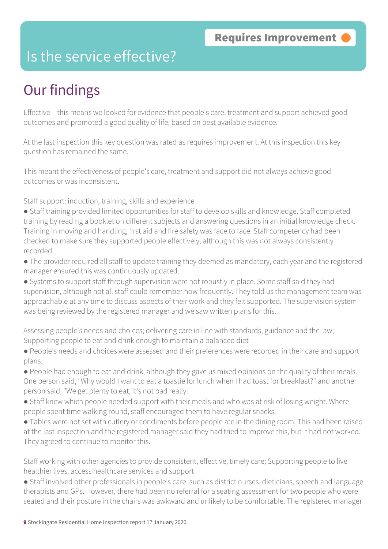### Is the service effective?

# Our findings

Effective – this means we looked for evidence that people's care, treatment and support achieved good outcomes and promoted a good quality of life, based on best available evidence.

At the last inspection this key question was rated as requires improvement. At this inspection this key question has remained the same.

This meant the effectiveness of people's care, treatment and support did not always achieve good outcomes or was inconsistent.

Staff support: induction, training, skills and experience

- Staff training provided limited opportunities for staff to develop skills and knowledge. Staff completed training by reading a booklet on different subjects and answering questions in an initial knowledge check. Training in moving and handling, first aid and fire safety was face to face. Staff competency had been checked to make sure they supported people effectively, although this was not always consistently recorded.
- The provider required all staff to update training they deemed as mandatory, each year and the registered manager ensured this was continuously updated.
- Systems to support staff through supervision were not robustly in place. Some staff said they had supervision, although not all staff could remember how frequently. They told us the management team was approachable at any time to discuss aspects of their work and they felt supported. The supervision system was being reviewed by the registered manager and we saw written plans for this.

Assessing people's needs and choices; delivering care in line with standards, guidance and the law; Supporting people to eat and drink enough to maintain a balanced diet

- People's needs and choices were assessed and their preferences were recorded in their care and support plans.
- People had enough to eat and drink, although they gave us mixed opinions on the quality of their meals. One person said, "Why would I want to eat a toastie for lunch when I had toast for breakfast?" and another person said, "We get plenty to eat, it's not bad really."
- Staff knew which people needed support with their meals and who was at risk of losing weight. Where people spent time walking round, staff encouraged them to have regular snacks.
- Tables were not set with cutlery or condiments before people ate in the dining room. This had been raised at the last inspection and the registered manager said they had tried to improve this, but it had not worked. They agreed to continue to monitor this.

Staff working with other agencies to provide consistent, effective, timely care; Supporting people to live healthier lives, access healthcare services and support

● Staff involved other professionals in people's care, such as district nurses, dieticians, speech and language therapists and GPs. However, there had been no referral for a seating assessment for two people who were seated and their posture in the chairs was awkward and unlikely to be comfortable. The registered manager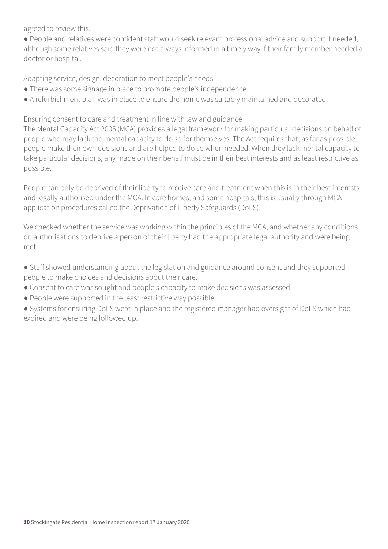agreed to review this.

● People and relatives were confident staff would seek relevant professional advice and support if needed, although some relatives said they were not always informed in a timely way if their family member needed a doctor or hospital.

Adapting service, design, decoration to meet people's needs

- There was some signage in place to promote people's independence.
- A refurbishment plan was in place to ensure the home was suitably maintained and decorated.

Ensuring consent to care and treatment in line with law and guidance

The Mental Capacity Act 2005 (MCA) provides a legal framework for making particular decisions on behalf of people who may lack the mental capacity to do so for themselves. The Act requires that, as far as possible, people make their own decisions and are helped to do so when needed. When they lack mental capacity to take particular decisions, any made on their behalf must be in their best interests and as least restrictive as possible.

People can only be deprived of their liberty to receive care and treatment when this is in their best interests and legally authorised under the MCA. In care homes, and some hospitals, this is usually through MCA application procedures called the Deprivation of Liberty Safeguards (DoLS).

We checked whether the service was working within the principles of the MCA, and whether any conditions on authorisations to deprive a person of their liberty had the appropriate legal authority and were being met.

- Staff showed understanding about the legislation and guidance around consent and they supported people to make choices and decisions about their care.
- Consent to care was sought and people's capacity to make decisions was assessed.
- People were supported in the least restrictive way possible.

● Systems for ensuring DoLS were in place and the registered manager had oversight of DoLS which had expired and were being followed up.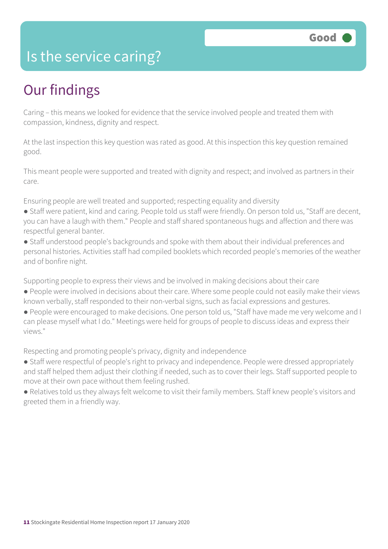### Is the service caring?

## Our findings

Caring – this means we looked for evidence that the service involved people and treated them with compassion, kindness, dignity and respect.

At the last inspection this key question was rated as good. At this inspection this key question remained good.

This meant people were supported and treated with dignity and respect; and involved as partners in their care.

Ensuring people are well treated and supported; respecting equality and diversity

- Staff were patient, kind and caring. People told us staff were friendly. On person told us, "Staff are decent, you can have a laugh with them." People and staff shared spontaneous hugs and affection and there was respectful general banter.
- Staff understood people's backgrounds and spoke with them about their individual preferences and personal histories. Activities staff had compiled booklets which recorded people's memories of the weather and of bonfire night.

Supporting people to express their views and be involved in making decisions about their care

- People were involved in decisions about their care. Where some people could not easily make their views known verbally, staff responded to their non-verbal signs, such as facial expressions and gestures.
- People were encouraged to make decisions. One person told us, "Staff have made me very welcome and I can please myself what I do." Meetings were held for groups of people to discuss ideas and express their views."

Respecting and promoting people's privacy, dignity and independence

- Staff were respectful of people's right to privacy and independence. People were dressed appropriately and staff helped them adjust their clothing if needed, such as to cover their legs. Staff supported people to move at their own pace without them feeling rushed.
- Relatives told us they always felt welcome to visit their family members. Staff knew people's visitors and greeted them in a friendly way.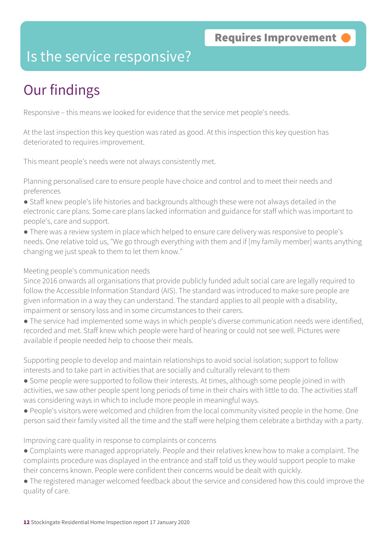### Is the service responsive?

# Our findings

Responsive – this means we looked for evidence that the service met people's needs.

At the last inspection this key question was rated as good. At this inspection this key question has deteriorated to requires improvement.

This meant people's needs were not always consistently met.

Planning personalised care to ensure people have choice and control and to meet their needs and preferences

- Staff knew people's life histories and backgrounds although these were not always detailed in the electronic care plans. Some care plans lacked information and guidance for staff which was important to people's, care and support.
- There was a review system in place which helped to ensure care delivery was responsive to people's needs. One relative told us, "We go through everything with them and if [my family member] wants anything changing we just speak to them to let them know."

#### Meeting people's communication needs

Since 2016 onwards all organisations that provide publicly funded adult social care are legally required to follow the Accessible Information Standard (AIS). The standard was introduced to make sure people are given information in a way they can understand. The standard applies to all people with a disability, impairment or sensory loss and in some circumstances to their carers.

● The service had implemented some ways in which people's diverse communication needs were identified, recorded and met. Staff knew which people were hard of hearing or could not see well. Pictures were available if people needed help to choose their meals.

Supporting people to develop and maintain relationships to avoid social isolation; support to follow interests and to take part in activities that are socially and culturally relevant to them

- Some people were supported to follow their interests. At times, although some people joined in with activities, we saw other people spent long periods of time in their chairs with little to do. The activities staff was considering ways in which to include more people in meaningful ways.
- People's visitors were welcomed and children from the local community visited people in the home. One person said their family visited all the time and the staff were helping them celebrate a birthday with a party.

Improving care quality in response to complaints or concerns

- Complaints were managed appropriately. People and their relatives knew how to make a complaint. The complaints procedure was displayed in the entrance and staff told us they would support people to make their concerns known. People were confident their concerns would be dealt with quickly.
- The registered manager welcomed feedback about the service and considered how this could improve the quality of care.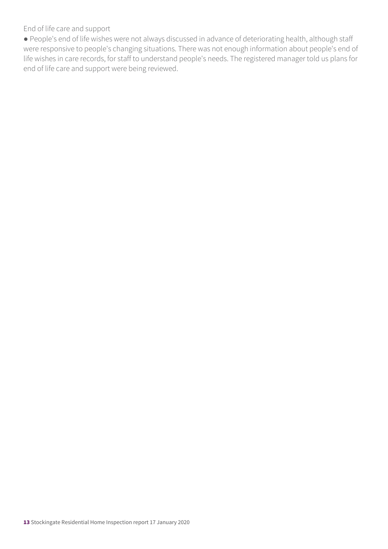End of life care and support

● People's end of life wishes were not always discussed in advance of deteriorating health, although staff were responsive to people's changing situations. There was not enough information about people's end of life wishes in care records, for staff to understand people's needs. The registered manager told us plans for end of life care and support were being reviewed.